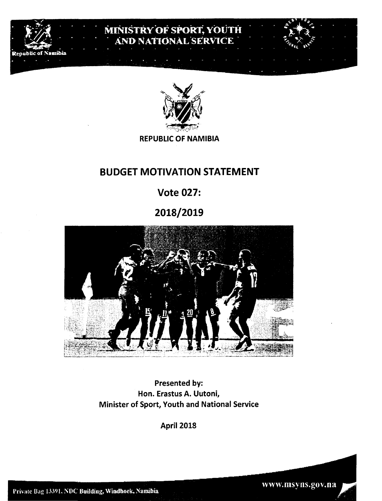

# MINISTRY OF SPORT, YOUTH AND NATIONAL SERVICE



**REPUBLIC OF NAMIBIA** 

## BUDGET MOTIVATION STATEMENT

# Vote 027:

# 2018/2019



Presented by: Hon. Erastus A. Uutoni, Minister of Sport, Youth and National Service

April 2018

www.msyns.gov.na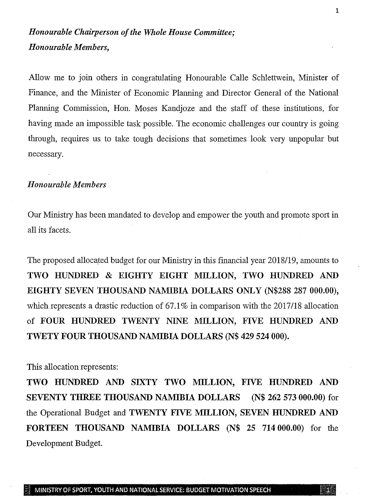## *Honourable Chairperson of the Whole House Committee; Honourable Members,*

Allow me to join others in congratulating Honourable Calle Schlettwein, Minister of Finance, and the Minister of Economic Planning and Director General of the National Planning Commission, Hon. Moses Kandjoze and the staff of these institutions, for having made an impossible task possible. The economic challenges our country is going through, requires us to take tough decisions that sometimes look very unpopular but necessary.

### *Honourable Members*

Our Ministry has been mandated to develop and empower the youth and promote sport in all its facets.

The proposed allocated budget for our Ministry in this fmancial year *2018/19,* amounts to TWO HUNDRED & EIGHTY EIGHT MILLION, TWO HUNDRED AND EIGHTY SEVEN THOUSAND NAMIBIA DOLLARS ONLY (N\$288 287 000.00), which represents a drastic reduction of 67.1% in comparison with the 2017/18 allocation of FOUR HUNDRED TWENTY NINE MILLION, FIVE HUNDRED AND TWETY FOUR THOUSAND NAMIBIA DOLLARS (N\$ 429 524 000).

This allocation represents:

TWO HUNDRED AND SIXTY TWO MILLION, FIVE HUNDRED AND SEVENTY THREE THOUSAND NAMIBIA DOLLARS (N\$ 262 573000.00) for the Operational Budget and TWENTY FIVE MILLION, SEVEN HUNDRED AND FORTEEN THOUSAND NAMIBIA DOLLARS (N\$ 25 714000.00) for the Development Budget.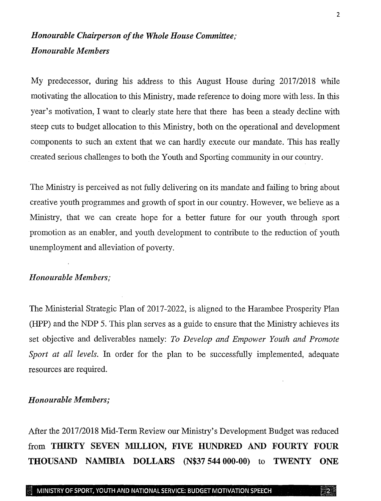## *Honourable Chairperson of the Whole House Committee; Honourable Members*

My predecessor, during his address to this August House during *201712018* while motivating the allocation to this Ministry, made reference to doing more with less. In this year's motivation, I want to clearly state here that there has been a steady decline with steep cuts to budget allocation to this Ministry, both on the operational and development components to such an extent that we can hardly execute our mandate. This has really created serious challenges to both the Youth and Sporting community in our country.

The Ministry is perceived as not fully delivering on its mandate and failing to bring about creative youth programmes and growth of sport in our country. However, we believe as a Ministry, that we can create hope for a better future for our youth through sport promotion as an enabler, and youth development to contribute to the reduction of youth unemployment and alleviation of poverty.

### *Honourable Members;*

The Ministerial Strategic Plan of 2017-2022, is aligned to the Harambee Prosperity Plan (HPP) and the NDP 5. This plan serves as a guide to ensure that the Ministry achieves its set objective and deliverables namely: *To Develop and Empower Youth and Promote Sport at all levels.* In order for the plan to be successfully implemented, adequate resources are required.

#### *Honourable Members;*

After the 2017/2018 Mid-Term Review our Ministry's Development Budget was reduced from THIRTY SEVEN MILLION, FIVE HUNDRED AND FOURTY FOUR THOUSAND NAMIBIA DOLLARS (N\$37 544 000-00) to TWENTY ONE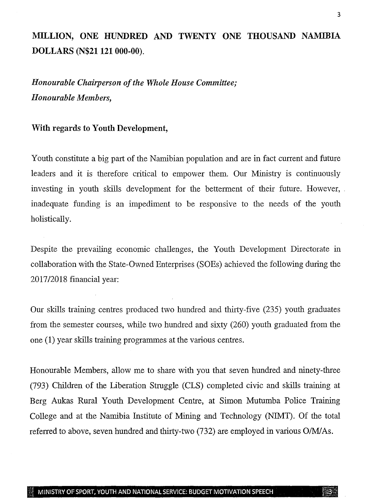## MILLION, ONE HUNDRED AND TWENTY ONE THOUSAND NAMIBIA DOLLARS (N\$21121 000-00).

*Honourable Chairperson of the Whole House Committee; Honourable Members,*

### With regards to Youth Development,

Youth constitute a big part of the Namibian population and are in fact current and future leaders and it is therefore critical to empower them. Our Ministry is continuously investing in youth skills development for the betterment of their future. However, . inadequate funding is an impediment to be responsive to the needs of the youth holistically.

Despite the prevailing economic challenges, the Youth Development Directorate in collaboration with the State-Owned Enterprises (SOEs) achieved the following during the 2017/2018 financial year:

Our skills training centres produced two hundred and thirty-five (235) youth graduates from the semester courses, while two hundred and sixty (260) youth graduated from the one (1) year skills training programmes at the various centres.

Honourable Members, allow me to share with you that seven hundred and ninety-three (793) Children of the Liberation Struggle (CLS) completed civic and skills training at Berg Aukas Rural Youth Development Centre, at Simon Mutumba Police Training College and at the Namibia Institute of Mining and Technology (NIMT). Of the total referred to above, seven hundred and thirty-two (732) are employed in various *O/MJAs.*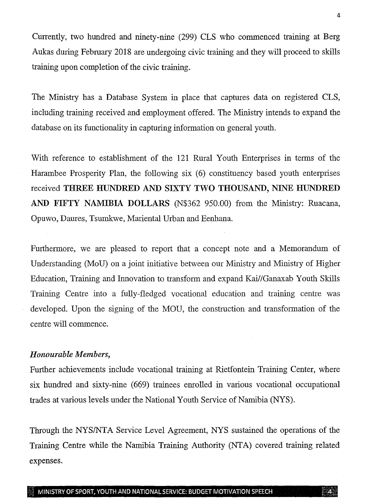Currently, two hundred and ninety-nine (299) CLS who commenced training at Berg Aukas during February 2018 are undergoing civic training and they will proceed to skills training upon completion of the civic training.

The Ministry has a Database System in place that captures data on registered CLS, including training received and employment offered. The Ministry intends to expand the database on its functionality in capturing information on general youth.

With reference to establishment of the 121 Rural Youth Enterprises in terms of the Harambee Prosperity Plan, the following six (6) constituency based youth enterprises received THREE HUNDRED AND SIXTY TWO THOUSAND, NINE HUNDRED AND FIFTY NAMIBIA DOLLARS (N\$362 950.00) from the Ministry: Ruacana, Opuwo, Daures, Tsumkwe, Mariental Urban and Eenhana.

Furthermore, we are pleased to report that a concept note and a Memorandum of Understanding (MoD) on a joint initiative between our Ministry and Ministry of Higher Education, Training and Innovation to transform and expand Kai//Ganaxab Youth Skills Training Centre into a fully-fledged vocational education and training centre was developed. Upon the signing of the MOU, the construction and transformation of the centre will commence.

### *Honourable Members,*

Further achievements include vocational training at Rietfontein Training Center, where six hundred and sixty-nine (669) trainees enrolled in various vocational occupational trades at various levels under the National Youth Service of Namibia (NYS).

Through the NYS/NTA Service Level Agreement, NYS sustained the operations of the Training Centre while the Namibia Training Authority (NTA) covered training related expenses.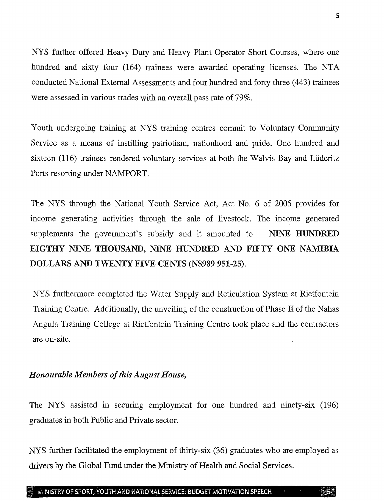NYS further offered Heavy Duty and Heavy Plant Operator Short Courses, where one hundred and sixty four (164) trainees were awarded operating licenses. The NTA conducted National External Assessments and four hundred and forty three (443) trainees were assessed in various trades with an overall pass rate of 79%.

Youth undergoing training at NYS training centres commit to Voluntary Community Service as a means of instilling patriotism, nationhood and pride. One hundred and sixteen (116) trainees rendered voluntary services at both the Walvis Bay and Lüderitz Ports resorting under NAMPORT.

The NYS through the National Youth Service Act, Act No. 6 of 2005 provides for income generating activities through the sale of livestock. The income generated supplements the government's subsidy and it amounted to NINE HUNDRED EIGTHY NINE THOUSAND, NINE HUNDRED AND FIFTY ONE NAMIBIA DOLLARS AND TWENTY FIVE CENTS (N\$989 951-25).

NYS furthermore completed the Water Supply and Reticulation System at Rietfontein Training Centre. Additionally, the unveiling of the construction of Phase IT of the Nahas Angula Training College at Rietfontein Training Centre took place and the contractors are on-site.

### *Honourable Members of this August House,*

The NYS assisted in securing employment for one hundred and ninety-six (196) graduates in both Public and Private sector.

NYS further facilitated the employment of thirty-six (36) graduates who are employed as drivers by the Global Fund under the Ministry of Health and Social Services.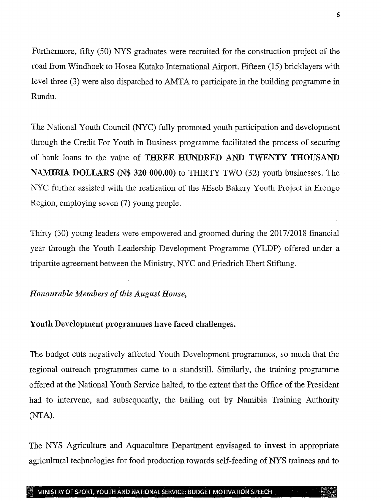Furthermore, fifty (50) NYS graduates were recruited for the construction project of the road from Windhoek to Hosea Kutako International Airport. Fifteen (15) bricklayers with level three (3) were also dispatched to AMTA to participate in the building programme in Rundu,

The National Youth Council (NYC) fully promoted youth participation and development through the Credit For Youth in Business programme facilitated the process of securing of bank loans to the value of THREE HUNDRED AND TWENTY THOUSAND NAMIBIA DOLLARS (N\$ 320 000.00) to THIRTY TWO (32) youth businesses. The NYC further assisted with the realization of the #Eseb Bakery Youth Project in Erongo Region, employing seven (7) young people.

Thirty (30) young leaders were empowered and groomed during the *201712018* fmancial year through the Youth Leadership Development Programme (YLDP) offered under a tripartite agreement between the Ministry, NYC and Friedrich Ebert Stiftung.

*Honourable Members of this August House,*

Youth Development programmes have faced challenges.

The budget cuts negatively affected Youth Development programmes, so much that the regional outreach programmes came to a standstill. Similarly, the training programme offered at the National Youth Service halted, to the extent that the Office of the President had to intervene, and subsequently, the bailing out by Namibia Training Authority (NTA).

The NYS Agriculture and Aquaculture Department envisaged to invest in appropriate agricultural technologies for food production towards self-feeding of NYS trainees and to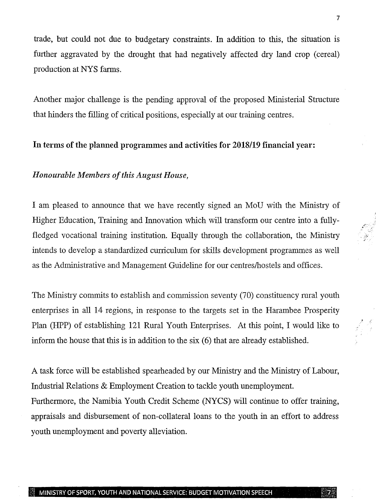trade, but could not due to budgetary constraints. In addition to this, the situation is further aggravated by the drought that had negatively affected dry land crop (cereal) production at NYS farms.

Another major challenge is the pending approval of the proposed Ministerial Structure that hinders the filling of critical positions, especially at our training centres.

## **In** terms of the planned programmes and activities for *2018/19* financial year:

### *Honourable Members of this August House,*

I am pleased to announce that we have recently signed an MoU with the Ministry of Higher Education, Training and Innovation which will transform our centre into a fullyfledged vocational training institution. Equally through the collaboration, the Ministry intends to develop a standardized curriculum for skills development programmes as well as the Administrative and Management Guideline for our centreslhostels and offices.

The Ministry commits to establish and commission seventy (70) constituency rural youth enterprises in all 14 regions, in response to the targets set in the Harambee Prosperity Plan (HPP) of establishing 121 Rural Youth Enterprises. At this point, I would like to inform the house that this is in addition to the six (6) that are already established.

A task force will be established spearheaded by our Ministry and the Ministry of Labour, Industrial Relations & Employment Creation to tackle youth unemployment. Furthermore, the Namibia Youth Credit Scheme (NYCS) will continue to offer training, appraisals and disbursement of non-collateral loans to the youth in an effort to address youth unemployment and poverty alleviation.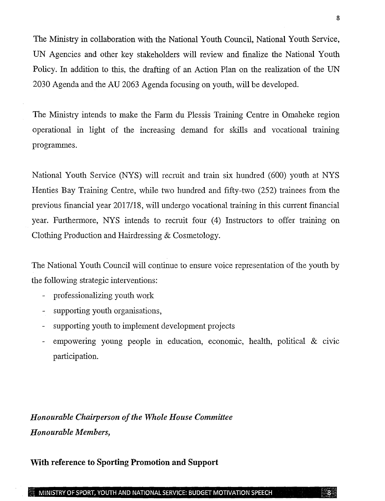The Ministry in collaboration with the National Youth Council, National Youth Service, UN Agencies and other key stakeholders will review and finalize the National Youth Policy. In addition to this, the drafting of an Action Plan on the realization of the UN 2030 Agenda and the *AV* 2063 Agenda focusing on youth, will be developed.

The Ministry intends to make the Farm du Plessis Training Centre in Omaheke region operational in light of the increasing demand for skills and vocational training programmes.

National Youth Service (NYS) will recruit and train six hundred (600) youth at NYS Henties Bay Training Centre, while two hundred and fifty-two (252) trainees from the previous financial year *2017/18,* will undergo vocational training in this current financial year. Furthermore, NYS intends to recruit four (4) Instructors to offer training on Clothing Production and Hairdressing & Cosmetology.

The National Youth Council will continue to ensure voice representation of the youth by the following strategic interventions:

- professionalizing youth work
- supporting youth organisations,
- supporting youth to implement development projects
- empowering young people in education, economic, health, political & civic participation.

*Honourable Chairperson of the Whole House Committee Honourable Members,*

## **With reference to Sporting Promotion and Support**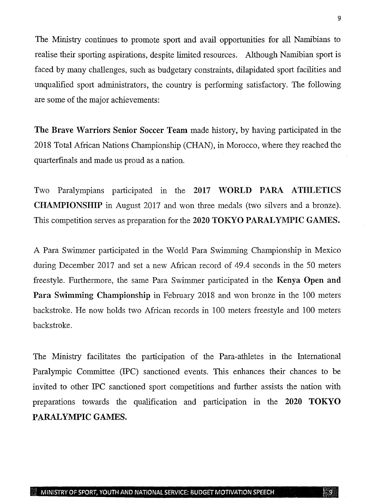The Ministry continues to promote sport and avail opportunities for all Namibians to realise their sporting aspirations, despite limited resources. Although Namibian sport is faced by many challenges, such as budgetary constraints, dilapidated sport facilities and unqualified sport administrators, the country is performing satisfactory. The following are some of the major achievements:

The Brave Warriors Senior Soccer Team made history, by having participated in the 2018 Total African Nations Championship (CHAN), in Morocco, where they reached the quarterfinals and made us proud as a nation.

Two Paralympians participated in the 2017 WORLD PARA ATHLETICS **CHAMPIONSHIP** in August 2017 and won three medals (two silvers and a bronze). This competition serves as preparation for the 2020 TOKYO PARALYMPIC GAMES.

A Para Swimmer participated in the World Para Swimming Championship in Mexico during December 2017 and set a new African record of 49.4 seconds in the 50 meters freestyle. Furthermore, the same Para Swimmer participated in the Kenya Open and Para Swimming Championship in February 2018 and won bronze in the 100 meters backstroke. He now holds two African records in 100 meters freestyle and 100 meters backstroke.

The Ministry facilitates the participation of the Para-athletes in the International Paralympic Committee (IPC) sanctioned events. This enhances their chances to be invited to other IPC sanctioned sport competitions and further assists the nation with preparations towards the qualification and participation in the 2020 TOKYO PARALYMPIC GAMES.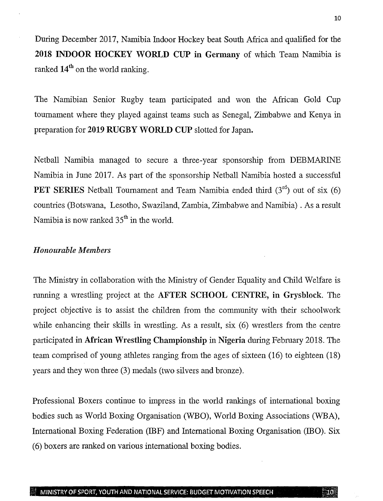During December 2017, Namibia Indoor Hockey beat South Africa and qualified for the 2018 INDOOR HOCKEY WORLD CUP in Germany of which Team Namibia is ranked  $14<sup>th</sup>$  on the world ranking.

The Namibian Senior Rugby team participated and won the African Gold Cup tournament where they played against teams such as Senegal, Zimbabwe and Kenya in preparation for 2019 RUGBY WORLD CUP slotted for Japan.

Netball Namibia managed to secure a three-year sponsorship from DEBMARINE Namibia in June 2017. As part of the sponsorship Netball Namibia hosted a successful **PET SERIES** Netball Tournament and Team Namibia ended third  $(3<sup>rd</sup>)$  out of six  $(6)$ countries (Botswana, Lesotho, Swaziland, Zambia, Zimbabwe and Namibia) . As a result Namibia is now ranked  $35<sup>th</sup>$  in the world.

### *Honourable Members*

The Ministry in collaboration with the Ministry of Gender Equality and Child Welfare is running a wrestling project at the AFTER SCHOOL CENTRE, in Grysblock. The project objective is to assist the children from the community with their schoolwork while enhancing their skills in wrestling. As a result, six (6) wrestlers from the centre participated in African Wrestling Championship in Nigeria during February 2018. The team comprised of young athletes ranging from the ages of sixteen (16) to eighteen (18) years and they won three (3) medals (two silvers and bronze).

Professional Boxers continue to impress in the world rankings of international boxing bodies such as World Boxing Organisation (WEO), World Boxing Associations (WBA), International Boxing Federation (IBF) and International Boxing Organisation (IBO). Six (6) boxers are ranked on various international boxing bodies.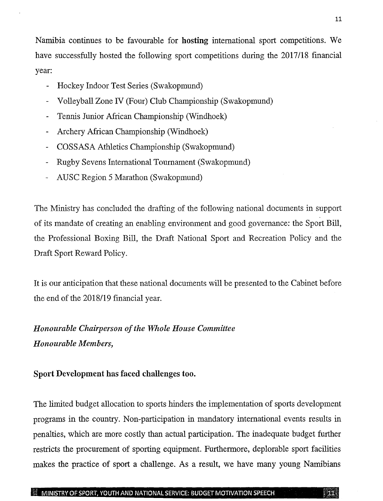Namibia continues to be favourable for hosting international sport competitions. We have successfully hosted the following sport competitions during the *2017/18* fmancial year:

- Hockey Indoor Test Series (Swakopmund)
- Volleyball Zone IV (Four) Club Championship (Swakopmund)
- Tennis Junior African Championship (Windhoek)
- Archery African Championship (Windhoek)
- COSSASA Athletics Championship (Swakopmund)
- Rugby Sevens International Tournament (Swakopmund)
- AUSC Region 5 Marathon (Swakopmund)

The Ministry has concluded the drafting of the following national documents in support of its mandate of creating an enabling environment and good governance: the Sport Bill, the Professional Boxing Bill, the Draft National Sport and Recreation Policy and the Draft Sport Reward Policy.

It is our anticipation that these national documents will be presented to the Cabinet before the end of the *2018/19* financial year.

## *Honourable Chairperson of the Whole House Committee Honourable Members,*

### Sport Development has faced challenges too.

The limited budget allocation to sports hinders the implementation of sports development programs in the country. Non-participation in mandatory international events results in penalties, which are more costly than actual participation. The inadequate budget further restricts the procurement of sporting equipment. Furthermore, deplorable sport facilities makes the practice of sport a challenge. As a result, we have many young Namibians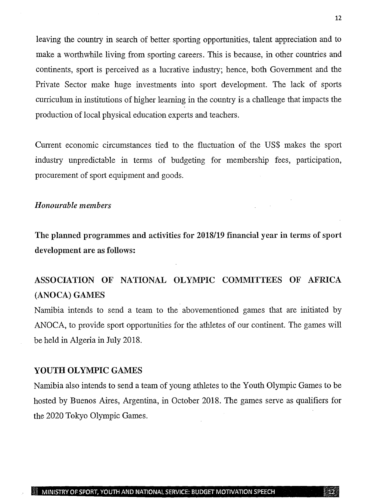leaving the country in search of better. sporting opportunities, talent appreciation and to make a worthwhile living from sporting careers. This is because, in other countries and continents, sport is perceived as a lucrative industry; hence, both Government and the Private Sector make huge investments into sport development. The lack of sports curriculum in institutions of higher learning in the country is a challenge that impacts the production of local physical education experts and teachers.

Current economic circumstances tied to the fluctuation of the US\$ makes the sport industry unpredictable in terms of budgeting for membership fees, participation, procurement of sport equipment and goods.

### *Honourable members*

The planned programmes and activities for *2018/19* financial year in terms of sport development are as follows:

## ASSOCIATION OF NATIONAL OLYMPIC COMMITTEES OF AFRICA (ANOCA) GAMES

Namibia intends to send a team to the abovementioned games that are initiated by ANOCA, to provide sport opportunities for the athletes of our continent. The games will be held in Algeria in July 2018.

### YOUTH OLYMPIC GAMES

Namibia also intends to send a team of young athletes to the Youth Olympic Games to be hosted by Buenos Aires, Argentina, in October 2018. The games serve as qualifiers for the 2020 Tokyo Olympic Games.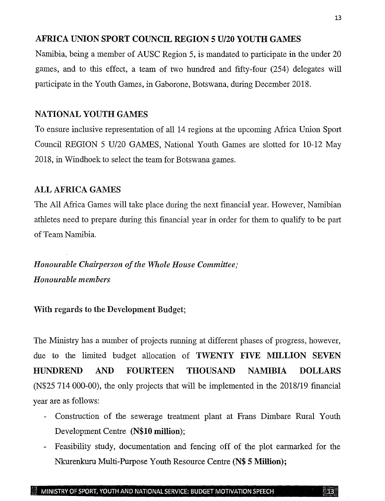### AFRICA UNION SPORT COUNCIL REGION 5 U/20 YOUTH GAMES

Namibia, being a member of AUSC Region 5, is mandated to participate in the under 20 games, and to this effect, a team of two hundred and fifty-four (254) delegates will participate in the Youth Games, in Gaborone, Botswana, during December 2018.

### NATIONAL YOUTH GAMES

To ensure inclusive representation of all 14 regions at the upcoming Africa Union Sport Council REGION 5 U/20 GAMES, National Youth Games are slotted for 10-12 May 2018, in Windhoek to select the team for Botswana games.

### ALL AFRICA GAMES

The All Africa Games will take place during the next financial year. However, Namibian athletes need to prepare during this financial year in order for them to qualify to be part of Team Namibia.

*Honourable Chairperson of the Whole House Committee; Honourable members*

### With regards to the Development Budget;

The Ministry has a number of projects running at different phases of progress, however, due to the limited budget allocation of TWENTY FIVE MILLION SEVEN HUNDREND AND FOURTEEN THOUSAND NAMIBIA DOLLARS (N\$25 714 000-00), the only projects that will be implemented in the 2018/19 financial year are as follows:

- Construction of the sewerage treatment plant at Frans Dimbare Rural Youth Development Centre (N\$10 million);
- Feasibility study, documentation and fencing off of the plot earmarked for the Nkurenkuru Multi-Purpose Youth Resource Centre (N\$ 5 Million);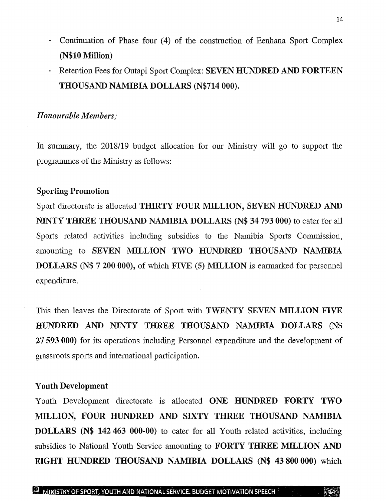- Continuation of Phase four (4) of the construction of Eenhana Sport Complex (N\$10Million)
- Retention Fees for Outapi Sport Complex: SEVEN HUNDRED AND FORTEEN THOUSAND NAMIBIA DOLLARS (N\$714 000).

### *Honourable Members;*

In summary, the *2018/19* budget allocation for our Ministry will go to support the programmes of the Ministry as follows:

### Sporting Promotion

Sport directorate is allocated THIRTY FOUR MILLION, SEVEN HUNDRED AND NINTY THREE THOUSAND NAMIBIA DOLLARS (N\$ 34793 000) to cater for all Sports related activities including subsidies to the Namibia Sports Commission, amounting to SEVEN MILLION TWO HUNDRED THOUSAND NAMIBIA DOLLARS (N\$ 7 200 000), of which FIVE (5) MILLION is earmarked for personnel expenditure.

This then leaves the Directorate of Sport with TWENTY SEVEN MILLION FIVE HUNDRED AND NINTY THREE THOUSAND NAMIBIA DOLLARS (N\$ 27593000) for its operations including Personnel expenditure and the development of grassroots sports and international participation.

### Youth Development

Youth Development directorate is allocated ONE HUNDRED FORTY TWO MILLION, FOUR HUNDRED AND SIXTY THREE THOUSAND NAMIBIA DOLLARS (N\$ 142 463 000-00) to cater for all Youth related activities, including subsidies to National Youth Service amounting to FORTY THREE MILLION AND EIGHT HUNDRED THOUSAND NAMIBIA DOLLARS (N\$ 43 800 000) which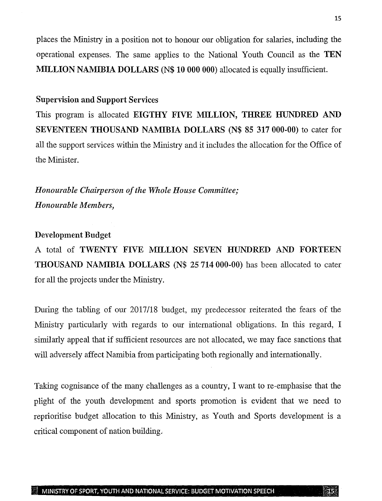places the Ministry in a position not to honour our obligation for salaries, including the operational expenses. The same applies to the National Youth Council as the TEN MILLION NAMIBIA DOLLARS (N\$ 10 000 000) allocated is equally insufficient.

### Supervision and Support Services

This program is allocated EIGTHY FIVE MILLION, THREE HUNDRED AND SEVENTEEN THOUSAND NAMIBIA DOLLARS (N\$ 85 317000-00) to cater for all the support services within the Ministry and it includes the allocation for the Office of the Minister.

*Honourable Chairperson of the Whole House Committee; Honourable Members,*

#### Development Budget

A total of TWENTY FIVE MILLION SEVEN HUNDRED AND FORTEEN THOUSAND NAMIBIA DOLLARS (N\$ 25 714 000-00) has been allocated to cater for all the projects under the Ministry.

During the tabling of our *2017/18* budget, my predecessor reiterated the fears of the Ministry particularly with regards to our international obligations. In this regard, I similarly appeal that if sufficient resources are not allocated, we may face sanctions that will adversely affect Namibia from participating both regionally and internationally.

Taking cognisance of the many challenges as a country, I want to re-emphasise that the plight of the youth development and sports promotion is evident that we need to reprioritise budget allocation to this Ministry, as Youth and Sports development is a critical component of nation building.